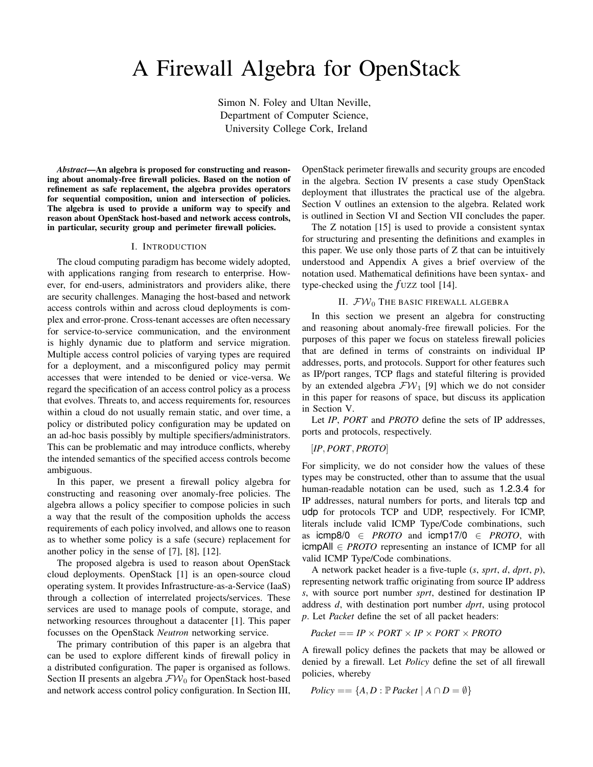# A Firewall Algebra for OpenStack

Simon N. Foley and Ultan Neville, Department of Computer Science, University College Cork, Ireland

*Abstract*—An algebra is proposed for constructing and reasoning about anomaly-free firewall policies. Based on the notion of refinement as safe replacement, the algebra provides operators for sequential composition, union and intersection of policies. The algebra is used to provide a uniform way to specify and reason about OpenStack host-based and network access controls, in particular, security group and perimeter firewall policies.

#### I. INTRODUCTION

The cloud computing paradigm has become widely adopted, with applications ranging from research to enterprise. However, for end-users, administrators and providers alike, there are security challenges. Managing the host-based and network access controls within and across cloud deployments is complex and error-prone. Cross-tenant accesses are often necessary for service-to-service communication, and the environment is highly dynamic due to platform and service migration. Multiple access control policies of varying types are required for a deployment, and a misconfigured policy may permit accesses that were intended to be denied or vice-versa. We regard the specification of an access control policy as a process that evolves. Threats to, and access requirements for, resources within a cloud do not usually remain static, and over time, a policy or distributed policy configuration may be updated on an ad-hoc basis possibly by multiple specifiers/administrators. This can be problematic and may introduce conflicts, whereby the intended semantics of the specified access controls become ambiguous.

In this paper, we present a firewall policy algebra for constructing and reasoning over anomaly-free policies. The algebra allows a policy specifier to compose policies in such a way that the result of the composition upholds the access requirements of each policy involved, and allows one to reason as to whether some policy is a safe (secure) replacement for another policy in the sense of [7], [8], [12].

The proposed algebra is used to reason about OpenStack cloud deployments. OpenStack [1] is an open-source cloud operating system. It provides Infrastructure-as-a-Service (IaaS) through a collection of interrelated projects/services. These services are used to manage pools of compute, storage, and networking resources throughout a datacenter [1]. This paper focusses on the OpenStack *Neutron* networking service.

The primary contribution of this paper is an algebra that can be used to explore different kinds of firewall policy in a distributed configuration. The paper is organised as follows. Section II presents an algebra  $\mathcal{FW}_0$  for OpenStack host-based and network access control policy configuration. In Section III, OpenStack perimeter firewalls and security groups are encoded in the algebra. Section IV presents a case study OpenStack deployment that illustrates the practical use of the algebra. Section V outlines an extension to the algebra. Related work is outlined in Section VI and Section VII concludes the paper.

The Z notation [15] is used to provide a consistent syntax for structuring and presenting the definitions and examples in this paper. We use only those parts of Z that can be intuitively understood and Appendix A gives a brief overview of the notation used. Mathematical definitions have been syntax- and type-checked using the *f* UZZ tool [14].

## II.  $\mathcal{FW}_0$  The basic firewall algebra

In this section we present an algebra for constructing and reasoning about anomaly-free firewall policies. For the purposes of this paper we focus on stateless firewall policies that are defined in terms of constraints on individual IP addresses, ports, and protocols. Support for other features such as IP/port ranges, TCP flags and stateful filtering is provided by an extended algebra  $\mathcal{FW}_1$  [9] which we do not consider in this paper for reasons of space, but discuss its application in Section V.

Let *IP*, *PORT* and *PROTO* define the sets of IP addresses, ports and protocols, respectively.

## [*IP, PORT, PROTO*]

For simplicity, we do not consider how the values of these types may be constructed, other than to assume that the usual human-readable notation can be used, such as 1.2.3.4 for IP addresses, natural numbers for ports, and literals tcp and udp for protocols TCP and UDP, respectively. For ICMP, literals include valid ICMP Type/Code combinations, such as  $i$ cmp8/0  $\in$  *PROTO* and  $i$ cmp17/0  $\in$  *PROTO*, with  $\mathsf{icmpAll} \in \mathit{PROTO}$  representing an instance of ICMP for all valid ICMP Type/Code combinations.

A network packet header is a five-tuple (*s*, *sprt*, *d*, *dprt*, *p*), representing network traffic originating from source IP address *s*, with source port number *sprt*, destined for destination IP address *d*, with destination port number *dprt*, using protocol *p*. Let *Packet* define the set of all packet headers:

 $Packet == IP \times PORT \times IP \times PORT \times PROTO$ 

A firewall policy defines the packets that may be allowed or denied by a firewall. Let *Policy* define the set of all firewall policies, whereby

$$
Policy == \{A, D : \mathbb{P} \} \, Packet \mid A \cap D = \emptyset \}
$$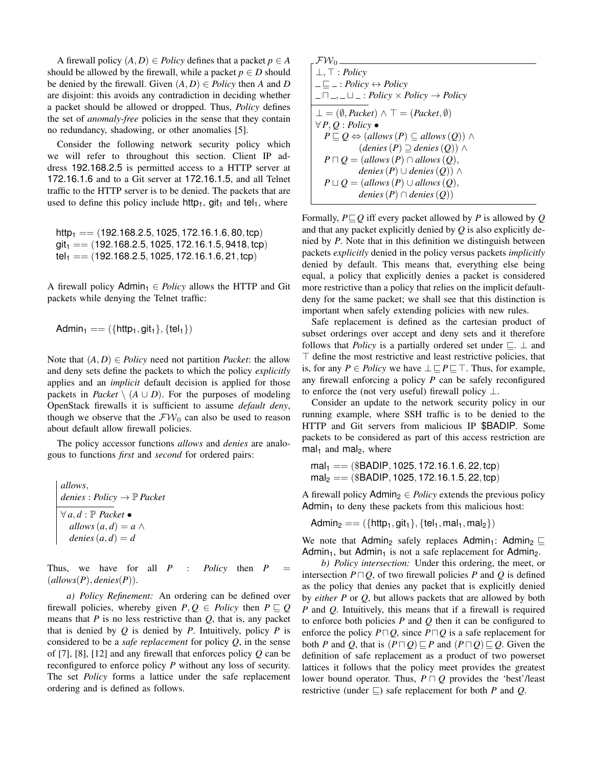A firewall policy  $(A, D) \in Policy$  defines that a packet  $p \in A$ should be allowed by the firewall, while a packet  $p \in D$  should be denied by the firewall. Given  $(A, D) \in Policy$  then *A* and *D* are disjoint: this avoids any contradiction in deciding whether a packet should be allowed or dropped. Thus, *Policy* defines the set of *anomaly-free* policies in the sense that they contain no redundancy, shadowing, or other anomalies [5].

Consider the following network security policy which we will refer to throughout this section. Client IP address 192.168.2.5 is permitted access to a HTTP server at 172.16.1.6 and to a Git server at 172.16.1.5, and all Telnet traffic to the HTTP server is to be denied. The packets that are used to define this policy include http1, git1 and tel1, where

http1 == (192*.*168*.*2*.*5*,* 1025*,* 172*.*16*.*1*.*6*,* 80*,* tcp) git1 == (192*.*168*.*2*.*5*,* 1025*,* 172*.*16*.*1*.*5*,* 9418*,* tcp) tel1 == (192*.*168*.*2*.*5*,* 1025*,* 172*.*16*.*1*.*6*,* 21*,* tcp)

A firewall policy  $\text{Admin}_1 \in \text{Policy}$  allows the HTTP and Git packets while denying the Telnet traffic:

$$
Admin_1 == (\{http_1, git_1\}, \{tel_1\})
$$

Note that  $(A, D) \in Policy$  need not partition *Packet*: the allow and deny sets define the packets to which the policy *explicitly* applies and an *implicit* default decision is applied for those packets in *Packet*  $\setminus$   $(A \cup D)$ . For the purposes of modeling OpenStack firewalls it is sufficient to assume *default deny*, though we observe that the  $\mathcal{FW}_0$  can also be used to reason about default allow firewall policies.

The policy accessor functions *allows* and *denies* are analogous to functions *first* and *second* for ordered pairs:

*allows,*  
*denies* : *Policy* 
$$
\rightarrow
$$
 P *Packet*  
 $\forall a, d : P$  *Packet*  $\bullet$   
*allows*  $(a, d) = a \land$   
*denies*  $(a, d) = d$ 

Thus, we have for all  $P$  : *Policy* then  $P$  $(allows(P),$  *denies* $(P)$ ).

*a) Policy Refinement:* An ordering can be defined over firewall policies, whereby given  $P, Q \in Policy$  then  $P \sqsubseteq Q$ means that *P* is no less restrictive than *Q*, that is, any packet that is denied by *Q* is denied by *P*. Intuitively, policy *P* is considered to be a *safe replacement* for policy *Q*, in the sense of [7], [8], [12] and any firewall that enforces policy *Q* can be reconfigured to enforce policy *P* without any loss of security. The set *Policy* forms a lattice under the safe replacement ordering and is defined as follows.

$$
\begin{aligned}\n\mathcal{FW}_0 &= \\
\bot, \top: Policy \\
&= \bot: Policy \leftrightarrow Policy \\
\hline\n\bot = (\emptyset, Packet) \land \top = (Packet, \emptyset) \\
\forall P, Q: Policy \bullet \\
P \sqsubseteq Q \Leftrightarrow (allows (P) \subseteq allows (Q)) \land \\
P \sqcap Q = (allows (P) \cap allows (Q)) \land \\
P \sqcap Q = (allows (P) \cap allows (Q),\n\end{aligned}
$$
\n
$$
P \sqcup Q = (allows (P) \cap allows (Q),\n\end{aligned}
$$

Formally,  $P \sqsubseteq Q$  iff every packet allowed by *P* is allowed by *Q* and that any packet explicitly denied by *Q* is also explicitly denied by *P*. Note that in this definition we distinguish between packets *explicitly* denied in the policy versus packets *implicitly* denied by default. This means that, everything else being equal, a policy that explicitly denies a packet is considered more restrictive than a policy that relies on the implicit defaultdeny for the same packet; we shall see that this distinction is important when safely extending policies with new rules.

Safe replacement is defined as the cartesian product of subset orderings over accept and deny sets and it therefore follows that *Policy* is a partially ordered set under  $\subseteq$ .  $\perp$  and  $\top$  define the most restrictive and least restrictive policies, that is, for any  $P \in Policy$  we have  $\perp \sqsubseteq P \sqsubseteq \top$ . Thus, for example, any firewall enforcing a policy *P* can be safely reconfigured to enforce the (not very useful) firewall policy  $\perp$ .

Consider an update to the network security policy in our running example, where SSH traffic is to be denied to the HTTP and Git servers from malicious IP \$BADIP. Some packets to be considered as part of this access restriction are mal<sub>1</sub> and mal<sub>2</sub>, where

```
mal1 == ($BADIP, 1025, 172.16.1.6, 22, tcp)
mal2 == ($BADIP, 1025, 172.16.1.5, 22, tcp)
```
A firewall policy  $\text{Admin}_2 \in \text{Policy}$  extends the previous policy  $Admin<sub>1</sub>$  to deny these packets from this malicious host:

 $\text{Admin}_2 == (\{\text{http1}, \text{git1}\}, \{\text{tel1}, \text{mal1}, \text{mal2}\})$ 

We note that Admin<sub>2</sub> safely replaces Admin<sub>1</sub>: Admin<sub>2</sub>  $\sqsubseteq$ Admin<sub>1</sub>, but Admin<sub>1</sub> is not a safe replacement for Admin<sub>2</sub>.

*b) Policy intersection:* Under this ordering, the meet, or intersection  $P \sqcap Q$ , of two firewall policies *P* and *Q* is defined as the policy that denies any packet that is explicitly denied by *either P* or *Q*, but allows packets that are allowed by both *P* and *Q*. Intuitively, this means that if a firewall is required to enforce both policies *P* and *Q* then it can be configured to enforce the policy  $P \square Q$ , since  $P \square Q$  is a safe replacement for both *P* and *Q*, that is  $(P \sqcap Q) \sqsubseteq P$  and  $(P \sqcap Q) \sqsubseteq Q$ . Given the definition of safe replacement as a product of two powerset lattices it follows that the policy meet provides the greatest lower bound operator. Thus,  $P \sqcap Q$  provides the 'best'/least restrictive (under  $\Box$ ) safe replacement for both *P* and *Q*.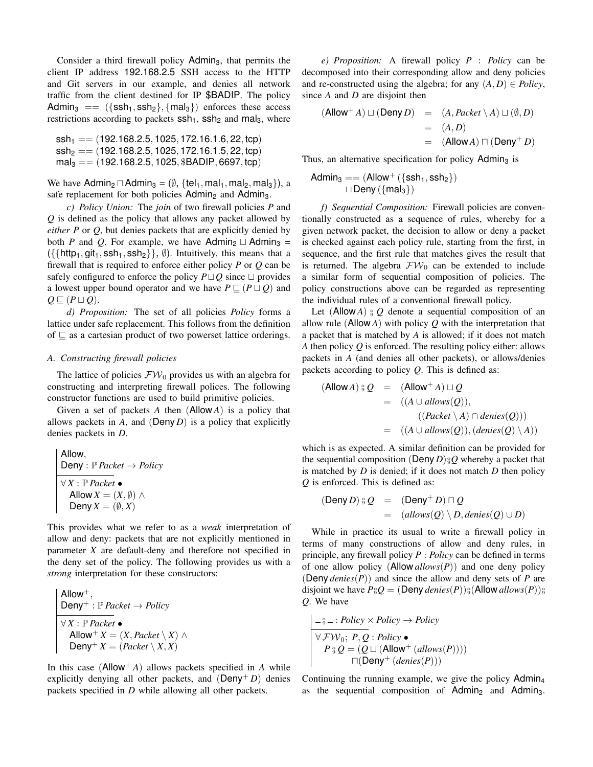Consider a third firewall policy Admin<sub>3</sub>, that permits the client IP address 192.168.2.5 SSH access to the HTTP and Git servers in our example, and denies all network traffic from the client destined for IP \$BADIP. The policy Admin<sub>3</sub> ==  $({\{sch_1, \text{ssh}_2\}}, {\{mal_3\}})$  enforces these access restrictions according to packets  $\text{ssh}_1$ ,  $\text{ssh}_2$  and mal<sub>3</sub>, where

$$
ssh_1 == (192.168.2.5, 1025, 172.16.1.6, 22, top)
$$
  
\n
$$
ssh_2 == (192.168.2.5, 1025, 172.16.1.5, 22, top)
$$
  
\n
$$
mal_3 == (192.168.2.5, 1025, \$BADIP, 6697, top)
$$

We have Admin<sub>2</sub>  $\Box$  Admin<sub>3</sub> = ( $\emptyset$ , {tel<sub>1</sub>, mal<sub>1</sub>, mal<sub>2</sub>, mal<sub>3</sub>}), a safe replacement for both policies  $Admin_2$  and  $Admin_3$ .

*c) Policy Union:* The *join* of two firewall policies *P* and *Q* is defined as the policy that allows any packet allowed by *either P* or *Q*, but denies packets that are explicitly denied by both *P* and *Q*. For example, we have Admin<sub>2</sub>  $\sqcup$  Admin<sub>3</sub> =  $({{\{\text{http_1},\text{git}_1,\text{ssh}_1,\text{ssh}_2\}}}, \emptyset)$ . Intuitively, this means that a firewall that is required to enforce either policy *P* or *Q* can be safely configured to enforce the policy  $P \sqcup Q$  since  $\sqcup$  provides a lowest upper bound operator and we have  $P \sqsubseteq (P \sqcup Q)$  and  $Q \sqsubseteq (P \sqcup Q)$ .

*d) Proposition:* The set of all policies *Policy* forms a lattice under safe replacement. This follows from the definition of  $\sqsubseteq$  as a cartesian product of two powerset lattice orderings.

## *A. Constructing firewall policies*

The lattice of policies  $\mathcal{FW}_0$  provides us with an algebra for constructing and interpreting firewall polices. The following constructor functions are used to build primitive policies.

Given a set of packets *A* then (Allow *A*) is a policy that allows packets in  $A$ , and  $(Deny D)$  is a policy that explicitly denies packets in *D*.

$$
\begin{array}{|l|l|}\n\hline \text{Allow}, & \text{Deny : } \mathbb{P} \text{ packet} \rightarrow \text{Policy} \\
\hline \forall X : \mathbb{P} \text{Packet} \bullet & \text{Allow } X = (X, \emptyset) \land \\
\hline \text{Deny } X = (\emptyset, X)\n\end{array}
$$

This provides what we refer to as a *weak* interpretation of allow and deny: packets that are not explicitly mentioned in parameter *X* are default-deny and therefore not specified in the deny set of the policy. The following provides us with a *strong* interpretation for these constructors:

$$
Allow^+, Deny^+ : P Packet \rightarrow Policy
$$
\forall X : P Packet \bullet
$$
  
Allow<sup>+</sup> X = (X, *Packet* \setminus X) \land  
Deny<sup>+</sup> X = (Packet \setminus X, X)
$$

In this case  $($ Allow<sup>+</sup> *A* $)$  allows packets specified in *A* while explicitly denying all other packets, and  $(Deny + D)$  denies packets specified in *D* while allowing all other packets.

*e) Proposition:* A firewall policy *P* : *Policy* can be decomposed into their corresponding allow and deny policies and re-constructed using the algebra; for any  $(A, D) \in Policy$ , since *A* and *D* are disjoint then

$$
(Allow+ A) \sqcup (Deny D) = (A, Packet \setminus A) \sqcup (\emptyset, D)
$$
  
= (A, D)  
= (Allow A) \sqcap (Deny<sup>+</sup> D)

Thus, an alternative specification for policy  $Admin_3$  is

$$
Admin3 == (Allow+ (\{sh1, sh2\})
$$
  
□ Deny (\{mal<sub>3</sub>\})

*f) Sequential Composition:* Firewall policies are conventionally constructed as a sequence of rules, whereby for a given network packet, the decision to allow or deny a packet is checked against each policy rule, starting from the first, in sequence, and the first rule that matches gives the result that is returned. The algebra  $\mathcal{FW}_0$  can be extended to include a similar form of sequential composition of policies. The policy constructions above can be regarded as representing the individual rules of a conventional firewall policy.

Let (Allow *A*)  $\frac{1}{9}Q$  denote a sequential composition of an allow rule (Allow *A*) with policy *Q* with the interpretation that a packet that is matched by *A* is allowed; if it does not match *A* then policy *Q* is enforced. The resulting policy either: allows packets in *A* (and denies all other packets), or allows/denies packets according to policy *Q*. This is defined as:

$$
(\text{Allow } A) \, \S \, Q = (\text{Allow}^+ A) \sqcup Q
$$
\n
$$
= ((A \cup allows(Q)),
$$
\n
$$
((Packet \setminus A) \cap denies(Q)))
$$
\n
$$
= ((A \cup allows(Q)), (denies(Q) \setminus A))
$$

which is as expected. A similar definition can be provided for the sequential composition (Deny  $D$ )<sup> $\circ$ </sup>,  $Q$  whereby a packet that is matched by *D* is denied; if it does not match *D* then policy *Q* is enforced. This is defined as:

$$
(\text{Deny } D) \, \text{ } \, \text{ } \, \mathcal{Q} \quad = \quad (\text{Deny}^+ \, D) \sqcap Q
$$
\n
$$
= \quad (\text{allows}(Q) \setminus D, \text{denies}(Q) \cup D)
$$

While in practice its usual to write a firewall policy in terms of many constructions of allow and deny rules, in principle, any firewall policy *P* : *Policy* can be defined in terms of one allow policy (Allow *allows*(*P*)) and one deny policy (Deny *denies*(*P*)) and since the allow and deny sets of *P* are disjoint we have  $P_{9}Q = ($ Deny  $denies(P)$  $)_{9}^{9}$ (Allow  $allows(P)$ ) $)_{9}^{9}$ *Q*. We have

$$
\begin{array}{l}\n-\frac{3}{9} - : Policy \times Policy \rightarrow Policy \\
\hline\n\forall \mathcal{FW}_0; P, Q : Policy \bullet \\
P \, \frac{3}{9} \, Q = (Q \sqcup (\text{Allow}^+ (allows(P)))) \\
\hline\n\Box(\text{Deny}^+ (denies(P)))\n\end{array}
$$

Continuing the running example, we give the policy Admin<sub>4</sub> as the sequential composition of  $Admin_2$  and  $Admin_3$ .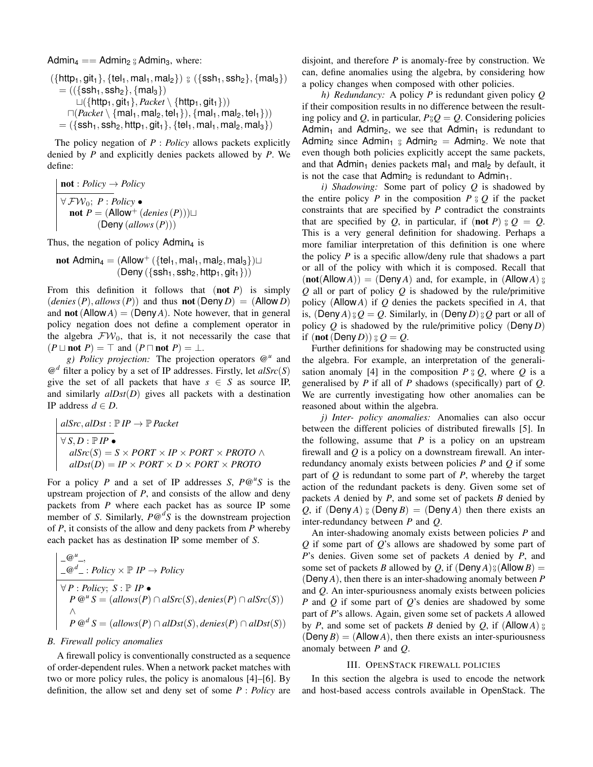Admin<sub>4</sub> == Admin<sub>2</sub>  $_{9}$  Admin<sub>3</sub>, where:  $({$ *{http*<sub>1</sub>*,* git<sub>1</sub></sub> $),$  {tel<sub>1</sub>*,* mal<sub>1</sub>*,* mal<sub>2</sub>})  $_{9}$  ({ssh<sub>1</sub>*,* ssh<sub>2</sub>}*,* {mal<sub>3</sub>}) = ((*{*ssh1*,* ssh2*}, {*mal3*}*)  $\sqcup$ ({http<sub>1</sub>, git<sub>1</sub>}, *Packet* \{http<sub>1</sub>, git<sub>1</sub>}))  $\Box(Packet \{ \text{make } t \setminus \{ \text{mal}_1, \text{mal}_2, \text{tel}_1 \} \}, \{ \text{mal}_1, \text{mal}_2, \text{tel}_1 \} )$  $=$  ({ssh<sub>1</sub>, ssh<sub>2</sub>, http<sub>1</sub>, git<sub>1</sub>}, {tel<sub>1</sub>, mal<sub>1</sub>, mal<sub>2</sub>, mal<sub>3</sub>})

The policy negation of *P* : *Policy* allows packets explicitly denied by *P* and explicitly denies packets allowed by *P*. We define:

$$
\begin{array}{l}\n\text{not}: Policy \rightarrow Policy \\
\hline\n\forall \mathcal{F} \mathcal{W}_0; P: Policy \bullet \\
\text{not } P = (\text{Allow}^+(denies (P))) \sqcup \\
(\text{Deny } (allows (P)))\n\end{array}
$$

Thus, the negation of policy Admin<sub>4</sub> is

$$
\text{not<} \text{Admin}_4 = (\text{Allow}^+ (\{\text{tel}_1, \text{mal}_1, \text{mal}_2, \text{mal}_3\}) \sqcup \\ (\text{Deny } (\{\text{ssh}_1, \text{ssh}_2, \text{httpt1}, \text{git}_1\}))
$$

From this definition it follows that (not *P*) is simply  $(denies(P), \text{allows}(P))$  and thus **not** (Deny *D*) = (Allow *D*) and **not** (Allow  $A$ ) = (Deny  $A$ ). Note however, that in general policy negation does not define a complement operator in the algebra  $\mathcal{FW}_0$ , that is, it not necessarily the case that  $(P \sqcup \text{not } P) = \top$  and  $(P \sqcap \text{not } P) = \bot$ .

*g) Policy projection:* The projection operators @*<sup>u</sup>* and  $\mathcal{Q}^d$  filter a policy by a set of IP addresses. Firstly, let  $\text{alSrc}(S)$ give the set of all packets that have  $s \in S$  as source IP, and similarly *alDst*(*D*) gives all packets with a destination IP address  $d \in D$ .

$$
alSrc, alDst: \mathbb{P} \, IP \to \mathbb{P} \, Packet
$$
\n
$$
\forall S, D: \mathbb{P} \, IP \, \bullet
$$
\n
$$
alSrc(S) = S \times PORT \times IP \times PORT \times PROTO \land
$$
\n
$$
alDist(D) = IP \times PORT \times D \times PORT \times PROTO
$$

For a policy *P* and a set of IP addresses *S*,  $P@^{\mu}S$  is the upstream projection of *P*, and consists of the allow and deny packets from *P* where each packet has as source IP some member of *S*. Similarly, *P*@*<sup>d</sup> S* is the downstream projection of *P*, it consists of the allow and deny packets from *P* whereby each packet has as destination IP some member of *S*.

$$
\frac{\begin{vmatrix} -\mathcal{Q}^u - , & \\ -\mathcal{Q}^d - : \text{Policy} \times \mathbb{P} & IP \to \text{Policy} \end{vmatrix}}{\begin{vmatrix} \forall P : \text{Policy}; S : \mathbb{P} & IP \bullet \\ P & \mathcal{Q}^u S = (allows(P) \cap \text{alSrc}(S), \text{denies}(P) \cap \text{alSrc}(S)) \end{vmatrix}} \rightarrow \begin{vmatrix} \wedge & \wedge & \wedge \\ P & \mathcal{Q}^d S = (allows(P) \cap \text{alDst}(S), \text{denies}(P) \cap \text{alDst}(S)) \end{vmatrix}
$$

#### *B. Firewall policy anomalies*

A firewall policy is conventionally constructed as a sequence of order-dependent rules. When a network packet matches with two or more policy rules, the policy is anomalous [4]–[6]. By definition, the allow set and deny set of some *P* : *Policy* are

disjoint, and therefore *P* is anomaly-free by construction. We can, define anomalies using the algebra, by considering how a policy changes when composed with other policies.

*h) Redundancy:* A policy *P* is redundant given policy *Q* if their composition results in no difference between the resulting policy and Q, in particular,  $P_{9}Q = Q$ . Considering policies Admin<sub>1</sub> and Admin<sub>2</sub>, we see that Admin<sub>1</sub> is redundant to Admin<sub>2</sub> since Admin<sub>1</sub>  $_{6}$  Admin<sub>2</sub> = Admin<sub>2</sub>. We note that even though both policies explicitly accept the same packets, and that Admin<sub>1</sub> denies packets mal<sub>1</sub> and mal<sub>2</sub> by default, it is not the case that  $Admin_2$  is redundant to  $Admin_1$ .

*i) Shadowing:* Some part of policy *Q* is shadowed by the entire policy *P* in the composition  $P \circ Q$  if the packet constraints that are specified by *P* contradict the constraints that are specified by *Q*, in particular, if (not *P*)  $\frac{\circ}{9}Q = Q$ . This is a very general definition for shadowing. Perhaps a more familiar interpretation of this definition is one where the policy *P* is a specific allow/deny rule that shadows a part or all of the policy with which it is composed. Recall that  $(\text{not}(\text{Allow }A)) = (\text{Deny }A)$  and, for example, in  $(\text{Allow }A)$   $\frac{\circ}{9}$ *Q* all or part of policy *Q* is shadowed by the rule/primitive policy (Allow *A*) if *Q* denies the packets specified in *A*, that is,  $(\textsf{Deny}\,A)$   $\underset{\circ}{\circ} Q = Q$ . Similarly, in  $(\textsf{Deny}\,D)$   $\underset{\circ}{\circ} Q$  part or all of policy *Q* is shadowed by the rule/primitive policy (Deny *D*) if  $(\operatorname{\mathsf{not}}\,(\operatorname{\mathsf{Deny}}\nolimits D))$   $\mathfrak{g}\, Q = Q.$ 

Further definitions for shadowing may be constructed using the algebra. For example, an interpretation of the generalisation anomaly [4] in the composition  $P_{\theta} Q$ , where  $Q$  is a generalised by *P* if all of *P* shadows (specifically) part of *Q*. We are currently investigating how other anomalies can be reasoned about within the algebra.

*j) Inter- policy anomalies:* Anomalies can also occur between the different policies of distributed firewalls [5]. In the following, assume that  $P$  is a policy on an upstream firewall and *Q* is a policy on a downstream firewall. An interredundancy anomaly exists between policies *P* and *Q* if some part of *Q* is redundant to some part of *P*, whereby the target action of the redundant packets is deny. Given some set of packets *A* denied by *P*, and some set of packets *B* denied by Q, if  $(Deny A)$   $\circ$   $(Deny B) = (Deny A)$  then there exists an inter-redundancy between *P* and *Q*.

An inter-shadowing anomaly exists between policies *P* and *Q* if some part of *Q*'s allows are shadowed by some part of *P*'s denies. Given some set of packets *A* denied by *P*, and some set of packets *B* allowed by *Q*, if  $(Deny A)_{\frac{9}{2}}(Allow B) =$ (Deny *A*), then there is an inter-shadowing anomaly between *P* and *Q*. An inter-spuriousness anomaly exists between policies *P* and *Q* if some part of *Q*'s denies are shadowed by some part of *P*'s allows. Again, given some set of packets *A* allowed by *P*, and some set of packets *B* denied by *Q*, if (Allow *A*)  $\frac{0}{9}$  $(Deny B) = (Allow A)$ , then there exists an inter-spuriousness anomaly between *P* and *Q*.

## III. OPENSTACK FIREWALL POLICIES

In this section the algebra is used to encode the network and host-based access controls available in OpenStack. The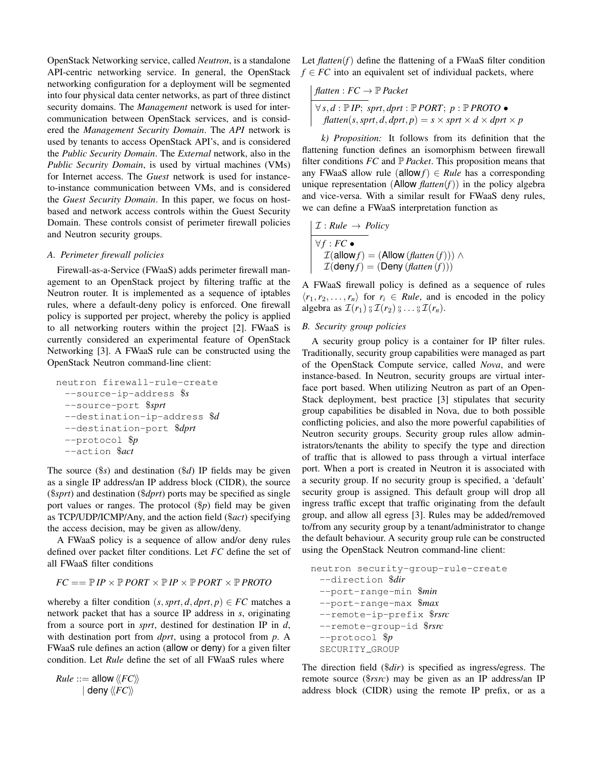OpenStack Networking service, called *Neutron*, is a standalone API-centric networking service. In general, the OpenStack networking configuration for a deployment will be segmented into four physical data center networks, as part of three distinct security domains. The *Management* network is used for intercommunication between OpenStack services, and is considered the *Management Security Domain*. The *API* network is used by tenants to access OpenStack API's, and is considered the *Public Security Domain*. The *External* network, also in the *Public Security Domain*, is used by virtual machines (VMs) for Internet access. The *Guest* network is used for instanceto-instance communication between VMs, and is considered the *Guest Security Domain*. In this paper, we focus on hostbased and network access controls within the Guest Security Domain. These controls consist of perimeter firewall policies and Neutron security groups.

## *A. Perimeter firewall policies*

Firewall-as-a-Service (FWaaS) adds perimeter firewall management to an OpenStack project by filtering traffic at the Neutron router. It is implemented as a sequence of iptables rules, where a default-deny policy is enforced. One firewall policy is supported per project, whereby the policy is applied to all networking routers within the project [2]. FWaaS is currently considered an experimental feature of OpenStack Networking [3]. A FWaaS rule can be constructed using the OpenStack Neutron command-line client:

neutron firewall-rule-create --source-ip-address \$*s* --source-port \$*sprt* --destination-ip-address \$*d* --destination-port \$*dprt* --protocol \$*p* --action \$*act*

The source (\$*s*) and destination (\$*d*) IP fields may be given as a single IP address/an IP address block (CIDR), the source (\$*sprt*) and destination (\$*dprt*) ports may be specified as single port values or ranges. The protocol (\$*p*) field may be given as TCP/UDP/ICMP/Any, and the action field (\$*act*) specifying the access decision, may be given as allow/deny.

A FWaaS policy is a sequence of allow and/or deny rules defined over packet filter conditions. Let *FC* define the set of all FWaaS filter conditions

 $FC == \mathbb{P} IP \times \mathbb{P} PORT \times \mathbb{P} IP \times \mathbb{P} PORT \times \mathbb{P} PROTO$ 

whereby a filter condition  $(s, sprt, d, dprt, p) \in FC$  matches a network packet that has a source IP address in *s*, originating from a source port in *sprt*, destined for destination IP in *d*, with destination port from *dprt*, using a protocol from *p*. A FWaaS rule defines an action (allow or deny) for a given filter condition. Let *Rule* define the set of all FWaaS rules where

 $Rule ::=$  allow  $\langle \langle FC \rangle \rangle$  $|$  deny  $\langle \langle FC \rangle \rangle$ 

Let  $\text{flatten}(f)$  define the flattening of a FWaaS filter condition  $f \in FC$  into an equivalent set of individual packets, where

$$
\begin{array}{l}\n\text{flatten}: FC \rightarrow \mathbb{P} \text{Packet} \\
\hline\n\forall s, d: \mathbb{P} \text{ IP}; \text{ sprt}, \text{d} \text{prt}: \mathbb{P} \text{ PORT}; \ p: \mathbb{P} \text{PROTO} \bullet \\
\text{flatten}(s, \text{sprt}, d, \text{d} \text{prt}, p) = s \times \text{sprt} \times d \times \text{d} \text{prt} \times p\n\end{array}
$$

*k) Proposition:* It follows from its definition that the flattening function defines an isomorphism between firewall filter conditions  $FC$  and  $\mathbb{P}$  *Packet*. This proposition means that any FWaaS allow rule (allow  $f$ )  $\in$  *Rule* has a corresponding unique representation (Allow  $\text{flatten}(f)$ ) in the policy algebra and vice-versa. With a similar result for FWaaS deny rules, we can define a FWaaS interpretation function as

$$
\mathcal{I}: Rule \rightarrow Policy
$$
  
\n
$$
\forall f: FC \bullet
$$
  
\n
$$
\mathcal{I}(\text{allow } f) = (\text{Allow } (f \text{latten } (f))) \land
$$
  
\n
$$
\mathcal{I}(\text{deny } f) = (\text{Deny } (f \text{latten } (f)))
$$

A FWaaS firewall policy is defined as a sequence of rules  $\langle r_1, r_2, \ldots, r_n \rangle$  for  $r_i \in Rule$ , and is encoded in the policy algebra as  $\mathcal{I}(r_1) \, \frac{0}{9} \, \mathcal{I}(r_2) \, \frac{0}{9} \ldots \, \frac{0}{9} \, \mathcal{I}(r_n)$ .

## *B. Security group policies*

A security group policy is a container for IP filter rules. Traditionally, security group capabilities were managed as part of the OpenStack Compute service, called *Nova*, and were instance-based. In Neutron, security groups are virtual interface port based. When utilizing Neutron as part of an Open-Stack deployment, best practice [3] stipulates that security group capabilities be disabled in Nova, due to both possible conflicting policies, and also the more powerful capabilities of Neutron security groups. Security group rules allow administrators/tenants the ability to specify the type and direction of traffic that is allowed to pass through a virtual interface port. When a port is created in Neutron it is associated with a security group. If no security group is specified, a 'default' security group is assigned. This default group will drop all ingress traffic except that traffic originating from the default group, and allow all egress [3]. Rules may be added/removed to/from any security group by a tenant/administrator to change the default behaviour. A security group rule can be constructed using the OpenStack Neutron command-line client:

```
neutron security-group-rule-create
 --direction $dir
 --port-range-min $min
 --port-range-max $max
 --remote-ip-prefix $rsrc
 --remote-group-id $rsrc
 --protocol $p
 SECURITY_GROUP
```
The direction field (\$*dir*) is specified as ingress/egress. The remote source (\$*rsrc*) may be given as an IP address/an IP address block (CIDR) using the remote IP prefix, or as a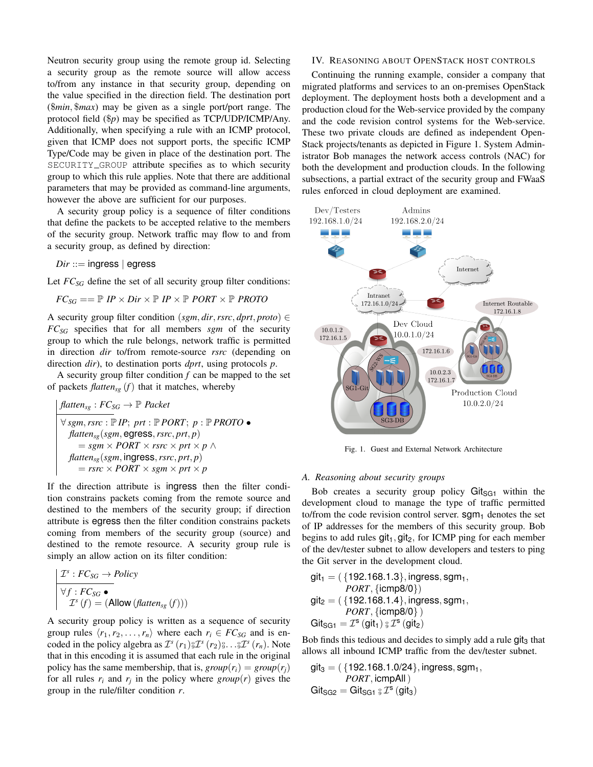Neutron security group using the remote group id. Selecting a security group as the remote source will allow access to/from any instance in that security group, depending on the value specified in the direction field. The destination port (\$*min,* \$*max*) may be given as a single port/port range. The protocol field (\$*p*) may be specified as TCP/UDP/ICMP/Any. Additionally, when specifying a rule with an ICMP protocol, given that ICMP does not support ports, the specific ICMP Type/Code may be given in place of the destination port. The SECURITY GROUP attribute specifies as to which security group to which this rule applies. Note that there are additional parameters that may be provided as command-line arguments, however the above are sufficient for our purposes.

A security group policy is a sequence of filter conditions that define the packets to be accepted relative to the members of the security group. Network traffic may flow to and from a security group, as defined by direction:

*Dir* ::= ingress *|* egress

Let  $FC_{SG}$  define the set of all security group filter conditions:

$$
FC_{SG} == \mathbb{P} \ IP \times Dir \times \mathbb{P} \ IP \times \mathbb{P} \ PORT \times \mathbb{P} \ PROTO
$$

A security group filter condition (*sgm, dir, rsrc, dprt, proto*)  $\in$ *FCSG* specifies that for all members *sgm* of the security group to which the rule belongs, network traffic is permitted in direction *dir* to/from remote-source *rsrc* (depending on direction *dir*), to destination ports *dprt*, using protocols *p*.

A security group filter condition *f* can be mapped to the set of packets  $f$ *latten<sub>sg</sub>*  $(f)$  that it matches, whereby

$$
\begin{array}{l}\n\text{flatten}_{sg} : FC_{SG} \rightarrow \mathbb{P} \text{ Packet} \\
\hline\n\forall \text{sgm}, \text{rsrc} : \mathbb{P} \text{ IP}; \text{ prt} : \mathbb{P} \text{ PORT}; \text{ } p : \mathbb{P} \text{ PROTO} \bullet \\
\text{flatten}_{sg}(\text{sgm}, \text{egress}, \text{rsrc}, \text{prt}, p) \\
\qquad = \text{sgm} \times \text{PORT} \times \text{rsrc} \times \text{prt} \times p \land \\
\text{flatten}_{sg}(\text{sgm}, \text{ingress}, \text{rsrc}, \text{prt}, p) \\
\qquad = \text{rsrc} \times \text{PORT} \times \text{sgm} \times \text{prt} \times p\n\end{array}
$$

If the direction attribute is ingress then the filter condition constrains packets coming from the remote source and destined to the members of the security group; if direction attribute is egress then the filter condition constrains packets coming from members of the security group (source) and destined to the remote resource. A security group rule is simply an allow action on its filter condition:

$$
\boxed{\begin{array}{l}\n\mathcal{I}^s : FC_{SG} \to Policy \\
\hline\n\forall f : FC_{SG} \bullet \\
\mathcal{I}^s(f) = (\text{Allow} (fatter_{sg}(f)))\n\end{array}}
$$

A security group policy is written as a sequence of security group rules  $\langle r_1, r_2, \ldots, r_n \rangle$  where each  $r_i \in FC_{SG}$  and is encoded in the policy algebra as  $\mathcal{I}^s(r_1)_{\mathfrak{I}}^{\mathfrak{I}} \mathcal{I}^s(r_2)_{\mathfrak{I}}^{\mathfrak{I}} \cdots \mathfrak{I}^s(r_n)$ . Note that in this encoding it is assumed that each rule in the original policy has the same membership, that is,  $group(r_i) = group(r_j)$ for all rules  $r_i$  and  $r_j$  in the policy where  $group(r)$  gives the group in the rule/filter condition *r*.

#### IV. REASONING ABOUT OPENSTACK HOST CONTROLS

Continuing the running example, consider a company that migrated platforms and services to an on-premises OpenStack deployment. The deployment hosts both a development and a production cloud for the Web-service provided by the company and the code revision control systems for the Web-service. These two private clouds are defined as independent Open-Stack projects/tenants as depicted in Figure 1. System Administrator Bob manages the network access controls (NAC) for both the development and production clouds. In the following subsections, a partial extract of the security group and FWaaS rules enforced in cloud deployment are examined.



Fig. 1. Guest and External Network Architecture

#### *A. Reasoning about security groups*

Bob creates a security group policy  $\text{Git}_{\text{SG1}}$  within the development cloud to manage the type of traffic permitted to/from the code revision control server.  $sgm<sub>1</sub>$  denotes the set of IP addresses for the members of this security group. Bob begins to add rules  $git_1, git_2$ , for ICMP ping for each member of the dev/tester subnet to allow developers and testers to ping the Git server in the development cloud.

$$
\begin{array}{l} \mathsf{git}_1 = (\{192.168.1.3\}, \mathsf{ingress}, \mathsf{sgm}_1, \\ \textit{PORT}, \{ \mathsf{icmp8/0} \}) \\ \mathsf{git}_2 = (\{192.168.1.4\}, \mathsf{ingress}, \mathsf{sgm}_1, \\ \textit{PORT}, \{ \mathsf{icmp8/0} \}) \\ \mathsf{Git}_{\mathsf{SG1}} = \mathcal{I}^{\mathsf{s}}(\mathsf{git}_1) \; \mathsf{s} \; \mathcal{I}^{\mathsf{s}}(\mathsf{git}_2) \end{array}
$$

Bob finds this tedious and decides to simply add a rule git<sub>3</sub> that allows all inbound ICMP traffic from the dev/tester subnet.

$$
git_3 = (\{192.168.1.0/24\}, ingress, sgm_1, PORT, icmpAll)
$$
  

$$
Git_{SG2} = Git_{SG1} {}_{\$} \mathcal{I}^s (git_3)
$$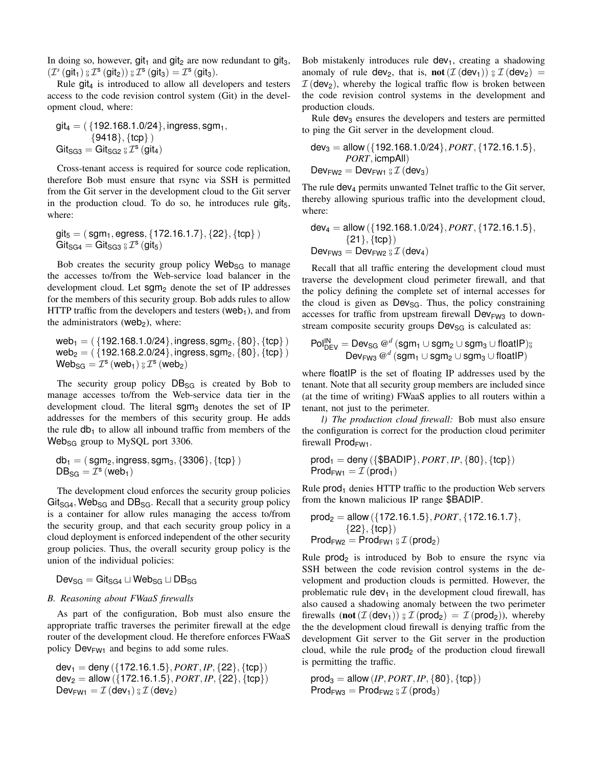In doing so, however,  $qit_1$  and  $qit_2$  are now redundant to  $qit_3$ ,  $(\mathcal{I}^s \left( \mathsf{git}_1 \right) \underset{\theta}{\{\theta \}} \mathcal{I}^s \left( \mathsf{git}_2 \right)) \underset{\theta}{\{\theta \}} \mathcal{I}^s \left( \mathsf{git}_3 \right) = \mathcal{I}^s \left( \mathsf{git}_3 \right).$ 

Rule  $git_4$  is introduced to allow all developers and testers access to the code revision control system (Git) in the development cloud, where:

$$
\begin{array}{l} \mathsf{git_4} = (\{192.168.1.0/24\}, \mathsf{ingress}, \mathsf{sgm}_1, \\ \{9418\}, \{\mathsf{tcp}\} \, ) \\ \mathsf{Git_{SG3}} = \mathsf{Git_{SG2}} \, \mathsf{g} \, \mathcal{I}^s \, (\mathsf{git_4}) \end{array}
$$

Cross-tenant access is required for source code replication, therefore Bob must ensure that rsync via SSH is permitted from the Git server in the development cloud to the Git server in the production cloud. To do so, he introduces rule  $q$ it<sub>5</sub>, where:

$$
git_5 = (sgm_1, egress, {172.16.1.7}, {22}, {tcp})
$$
  
 
$$
Git_{SG4} = Git_{SG3} {}_{\beta} \mathcal{I}^s (git_5)
$$

Bob creates the security group policy Web<sub>SG</sub> to manage the accesses to/from the Web-service load balancer in the development cloud. Let sgm<sub>2</sub> denote the set of IP addresses for the members of this security group. Bob adds rules to allow HTTP traffic from the developers and testers (web<sub>1</sub>), and from the administrators (web<sub>2</sub>), where:

web1 = ( *{*192.168.1.0/24*},* ingress*,* sgm2*, {*80*}, {*tcp*}* ) web2 = ( *{*192.168.2.0/24*},* ingress*,* sgm2*, {*80*}, {*tcp*}* )  $\mathsf{Web}_{\mathsf{SG}} = \mathcal{I}^\mathsf{s} \left( \mathsf{web}_1 \right) \S \, \mathcal{I}^\mathsf{s} \left( \mathsf{web}_2 \right)$ 

The security group policy  $DB_{SG}$  is created by Bob to manage accesses to/from the Web-service data tier in the development cloud. The literal  $\text{sgm}_3$  denotes the set of IP addresses for the members of this security group. He adds the rule  $db_1$  to allow all inbound traffic from members of the  $Web_{SG}$  group to MySQL port 3306.

 $db_1 = (sgm_2, ingress, sgm_3, {3306}, {tcp}$  $DB_{SG} = \mathcal{I}^s$  (web<sub>1</sub>)

The development cloud enforces the security group policies  $Git_{SG4}$ , Web<sub>SG</sub> and DB<sub>SG</sub>. Recall that a security group policy is a container for allow rules managing the access to/from the security group, and that each security group policy in a cloud deployment is enforced independent of the other security group policies. Thus, the overall security group policy is the union of the individual policies:

 $Dev_{SG} = Gitz_{G4} \sqcup Web_{SG} \sqcup DB_{SG}$ 

#### *B. Reasoning about FWaaS firewalls*

As part of the configuration, Bob must also ensure the appropriate traffic traverses the perimiter firewall at the edge router of the development cloud. He therefore enforces FWaaS policy  $Dev_{FW1}$  and begins to add some rules.

$$
\begin{array}{l} \text{dev}_1 = \text{deny} \ (\{172.16.1.5\}, \text{PORT}, \text{IP}, \{22\}, \{\text{tcp}\}) \\ \text{dev}_2 = \text{allow} \ (\{172.16.1.5\}, \text{PORT}, \text{IP}, \{22\}, \{\text{tcp}\}) \\ \text{Dev}_{\text{FW1}} = \mathcal{I} \ (\text{dev}_1) \ \text{g } \mathcal{I} \ (\text{dev}_2) \end{array}
$$

Bob mistakenly introduces rule  $dev_1$ , creating a shadowing anomaly of rule  $dev_2$ , that is, **not**  $(\mathcal{I}(dev_1)) \, \mathcal{I}(dev_2) =$  $I$  (dev<sub>2</sub>), whereby the logical traffic flow is broken between the code revision control systems in the development and production clouds.

Rule dev<sub>3</sub> ensures the developers and testers are permitted to ping the Git server in the development cloud.

$$
dev_3 = allow ({192.168.1.0/24}, PORT, {172.16.1.5}, PORT, icmpAll)
$$
  
Dev<sub>FW2</sub> = Dev<sub>FW1</sub> <sup>8</sup> I (dev<sub>3</sub>)

The rule dev<sub>4</sub> permits unwanted Telnet traffic to the Git server, thereby allowing spurious traffic into the development cloud, where:

$$
dev_4 = \text{allow}(\{192.168.1.0/24\}, PORT, \{172.16.1.5\}, \\ \{21\}, \{tcp\})
$$
  
Dev<sub>FW3</sub> = Dev<sub>FW2</sub> <sub>8</sub> I (dev<sub>4</sub>)

Recall that all traffic entering the development cloud must traverse the development cloud perimeter firewall, and that the policy defining the complete set of internal accesses for the cloud is given as  $Dev_{SG}$ . Thus, the policy constraining accesses for traffic from upstream firewall  $Dev_{FW3}$  to downstream composite security groups  $Dev_{SG}$  is calculated as:

$$
\text{Pol}_{\text{DEV}}^{\text{IN}} = \text{Dev}_{\text{SG}} \, @^d (\text{sgm}_1 \cup \text{sgm}_2 \cup \text{sgm}_3 \cup \text{floatIP})\S \\ \text{Dev}_{\text{FW3}} \, @^d (\text{sgm}_1 \cup \text{sgm}_2 \cup \text{sgm}_3 \cup \text{floatIP})
$$

where floatIP is the set of floating IP addresses used by the tenant. Note that all security group members are included since (at the time of writing) FWaaS applies to all routers within a tenant, not just to the perimeter.

*l) The production cloud firewall:* Bob must also ensure the configuration is correct for the production cloud perimiter firewall Prod<sub>FW1</sub>.

$$
\text{prod}_1 = \text{deny} (\{\$BADIP\},\text{PORT},\text{IP},\{80\},\{\text{tcp}\})
$$
  

$$
\text{Prod}_{FW1} = \mathcal{I} (\text{prod}_1)
$$

Rule  $prod_1$  denies HTTP traffic to the production Web servers from the known malicious IP range \$BADIP.

$$
prod2 = allow ({172.16.1.5}, PORT, {172.16.1.7},{22}, {top})ProdFW2 = ProdFW1 °3 I (prod2)
$$

Rule  $prod_2$  is introduced by Bob to ensure the rsync via SSH between the code revision control systems in the development and production clouds is permitted. However, the problematic rule  $dev_1$  in the development cloud firewall, has also caused a shadowing anomaly between the two perimeter firewalls  $(\text{not}(\mathcal{I}(\text{dev}_1)) \, \mathcal{I}(\text{prod}_2) = \mathcal{I}(\text{prod}_2)),$  whereby the the development cloud firewall is denying traffic from the development Git server to the Git server in the production cloud, while the rule  $prod_2$  of the production cloud firewall is permitting the traffic.

 $\text{prod}_3 = \text{allow} (IP, PORT, IP, \{80\}, \{tcp\})$  $\mathsf{Prod}_{\mathsf{FW3}} = \mathsf{Prod}_{\mathsf{FW2}} \, \S \, \mathcal{I} \left( \mathsf{prod}_3 \right)$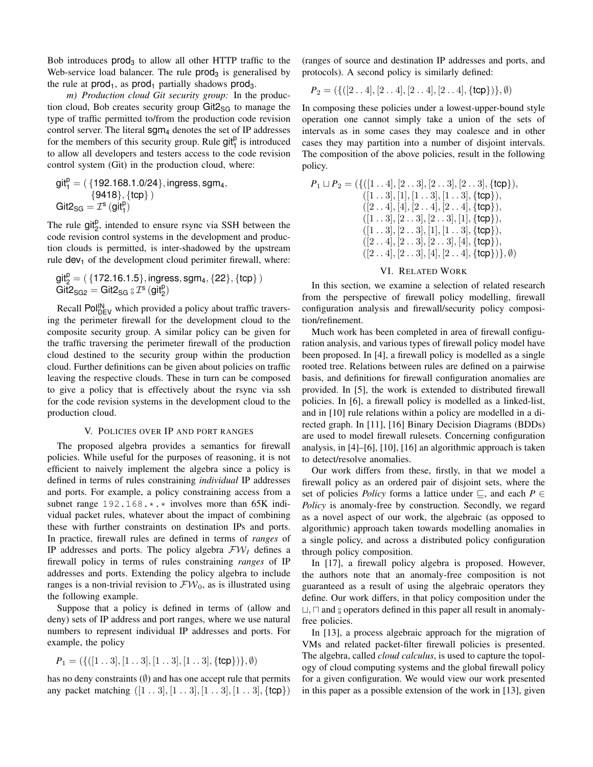Bob introduces  $prod_3$  to allow all other HTTP traffic to the Web-service load balancer. The rule  $prod_3$  is generalised by the rule at  $prod_1$ , as  $prod_1$  partially shadows prod<sub>3</sub>.

*m) Production cloud Git security group:* In the production cloud, Bob creates security group  $\text{Gitz}_{\text{SG}}$  to manage the type of traffic permitted to/from the production code revision control server. The literal  $\text{sgm}_4$  denotes the set of IP addresses for the members of this security group. Rule  $\text{git}_1^p$  is introduced to allow all developers and testers access to the code revision control system (Git) in the production cloud, where:

$$
\begin{array}{l} \rm{git}_1^p = (\{192.168.1.0/24\}, \rm{ingress}, \rm{sgm}_4, \\ \{9418\}, \{tcp\}) \\ \rm{Git2}_{\rm SG} = \mathcal{I}^s \left(\rm{git}_1^p\right) \end{array}
$$

The rule  $git_2^p$ , intended to ensure rsync via SSH between the code revision control systems in the development and production clouds is permitted, is inter-shadowed by the upstream rule  $dev_1$  of the development cloud perimiter firewall, where:

$$
\begin{array}{l} \rm git_2^p = (\{172.16.1.5\}, \rm ingress, \, \rm sgm_4, \{22\}, \{tcp\}) \\ \rm Git2_{SG2} = \rm Git2_{SG} \, \rm g \, \mathcal{I}^s \, (\rm git_2^p) \end{array}
$$

Recall  $Pol_{\text{DEV}}^{\text{IN}}$  which provided a policy about traffic traversing the perimeter firewall for the development cloud to the composite security group. A similar policy can be given for the traffic traversing the perimeter firewall of the production cloud destined to the security group within the production cloud. Further definitions can be given about policies on traffic leaving the respective clouds. These in turn can be composed to give a policy that is effectively about the rsync via ssh for the code revision systems in the development cloud to the production cloud.

## V. POLICIES OVER IP AND PORT RANGES

The proposed algebra provides a semantics for firewall policies. While useful for the purposes of reasoning, it is not efficient to naively implement the algebra since a policy is defined in terms of rules constraining *individual* IP addresses and ports. For example, a policy constraining access from a subnet range  $192.168.*.*$  involves more than 65K individual packet rules, whatever about the impact of combining these with further constraints on destination IPs and ports. In practice, firewall rules are defined in terms of *ranges* of IP addresses and ports. The policy algebra *FW<sup>I</sup>* defines a firewall policy in terms of rules constraining *ranges* of IP addresses and ports. Extending the policy algebra to include ranges is a non-trivial revision to  $\mathcal{FW}_0$ , as is illustrated using the following example.

Suppose that a policy is defined in terms of (allow and deny) sets of IP address and port ranges, where we use natural numbers to represent individual IP addresses and ports. For example, the policy

$$
P_1 = (\{([1\mathinner{.\,.} 3],[1\mathinner{.\,.} 3],[1\mathinner{.\,.} 3],[1\mathinner{.\,.} 3],[\mathsf{tcp}\})\},\emptyset)
$$

has no deny constraints  $(\emptyset)$  and has one accept rule that permits any packet matching ([1 *. .* 3]*,* [1 *. .* 3]*,* [1 *. .* 3]*,* [1 *. .* 3]*, {*tcp*}*) (ranges of source and destination IP addresses and ports, and protocols). A second policy is similarly defined:

$$
P_2 = (\{([2\mathinner{.\,.} 4],[2\mathinner{.\,.} 4],[2\mathinner{.\,.} 4],[2\mathinner{.\,.} 4],[\mathsf{tcp}\})\},\emptyset)
$$

In composing these policies under a lowest-upper-bound style operation one cannot simply take a union of the sets of intervals as in some cases they may coalesce and in other cases they may partition into a number of disjoint intervals. The composition of the above policies, result in the following policy.

$$
P_1 \sqcup P_2 = (\{([1..4],[2..3],[2..3],[2..3],[6p\}),\newline ([1..3],[1],[1..3],[1..3],[1cp\}),\newline ([2..4],[4],[2..4],[2..4],[6p\}),\newline ([1..3],[2..3],[2..3],[1],[6p\}),\newline ([1..3],[2..3],[1],[1..3],[6p\}),\newline ([2..4],[2..3],[2..3],[4],[6p\}),\newline ([2..4],[2..3],[4],[2..4],[6p\}),\emptyset)
$$

#### VI. RELATED WORK

In this section, we examine a selection of related research from the perspective of firewall policy modelling, firewall configuration analysis and firewall/security policy composition/refinement.

Much work has been completed in area of firewall configuration analysis, and various types of firewall policy model have been proposed. In [4], a firewall policy is modelled as a single rooted tree. Relations between rules are defined on a pairwise basis, and definitions for firewall configuration anomalies are provided. In [5], the work is extended to distributed firewall policies. In [6], a firewall policy is modelled as a linked-list, and in [10] rule relations within a policy are modelled in a directed graph. In [11], [16] Binary Decision Diagrams (BDDs) are used to model firewall rulesets. Concerning configuration analysis, in [4]–[6], [10], [16] an algorithmic approach is taken to detect/resolve anomalies.

Our work differs from these, firstly, in that we model a firewall policy as an ordered pair of disjoint sets, where the set of policies *Policy* forms a lattice under  $\sqsubseteq$ , and each  $P \in$ *Policy* is anomaly-free by construction. Secondly, we regard as a novel aspect of our work, the algebraic (as opposed to algorithmic) approach taken towards modelling anomalies in a single policy, and across a distributed policy configuration through policy composition.

In [17], a firewall policy algebra is proposed. However, the authors note that an anomaly-free composition is not guaranteed as a result of using the algebraic operators they define. Our work differs, in that policy composition under the  $\sqcup$ ,  $\sqcap$  and  $\frac{6}{9}$  operators defined in this paper all result in anomalyfree policies.

In [13], a process algebraic approach for the migration of VMs and related packet-filter firewall policies is presented. The algebra, called *cloud calculus*, is used to capture the topology of cloud computing systems and the global firewall policy for a given configuration. We would view our work presented in this paper as a possible extension of the work in [13], given